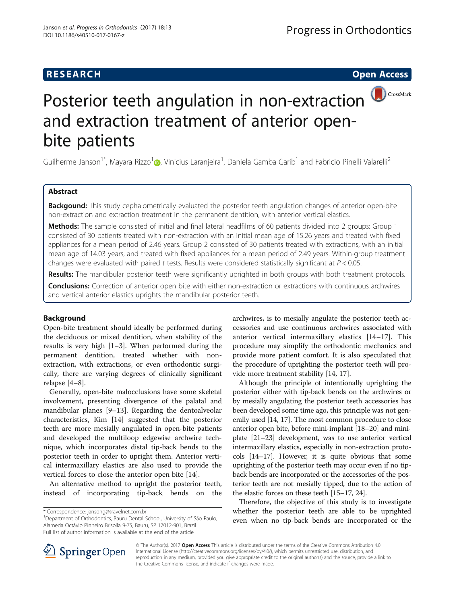# **RESEARCH CHE Open Access**



# Posterior teeth angulation in non-extraction and extraction treatment of anterior openbite patients

Guilherme Janson<sup>[1](http://orcid.org/0000-0002-8124-2057)\*</sup>, Mayara Rizzo<sup>1</sup>@, Vinicius Laranjeira<sup>1</sup>, Daniela Gamba Garib<sup>1</sup> and Fabricio Pinelli Valarelli<sup>2</sup>

# Abstract

**Backgound:** This study cephalometrically evaluated the posterior teeth angulation changes of anterior open-bite non-extraction and extraction treatment in the permanent dentition, with anterior vertical elastics.

Methods: The sample consisted of initial and final lateral headfilms of 60 patients divided into 2 groups: Group 1 consisted of 30 patients treated with non-extraction with an initial mean age of 15.26 years and treated with fixed appliances for a mean period of 2.46 years. Group 2 consisted of 30 patients treated with extractions, with an initial mean age of 14.03 years, and treated with fixed appliances for a mean period of 2.49 years. Within-group treatment changes were evaluated with paired t tests. Results were considered statistically significant at  $P < 0.05$ .

Results: The mandibular posterior teeth were significantly uprighted in both groups with both treatment protocols.

**Conclusions:** Correction of anterior open bite with either non-extraction or extractions with continuous archwires and vertical anterior elastics uprights the mandibular posterior teeth.

# Background

Open-bite treatment should ideally be performed during the deciduous or mixed dentition, when stability of the results is very high [[1](#page-6-0)–[3\]](#page-6-0). When performed during the permanent dentition, treated whether with nonextraction, with extractions, or even orthodontic surgically, there are varying degrees of clinically significant relapse [\[4](#page-6-0)–[8\]](#page-6-0).

Generally, open-bite malocclusions have some skeletal involvement, presenting divergence of the palatal and mandibular planes [[9](#page-6-0)–[13](#page-6-0)]. Regarding the dentoalveolar characteristics, Kim [\[14\]](#page-6-0) suggested that the posterior teeth are more mesially angulated in open-bite patients and developed the multiloop edgewise archwire technique, which incorporates distal tip-back bends to the posterior teeth in order to upright them. Anterior vertical intermaxillary elastics are also used to provide the vertical forces to close the anterior open bite [[14](#page-6-0)].

An alternative method to upright the posterior teeth, instead of incorporating tip-back bends on the

<sup>1</sup>Department of Orthodontics, Bauru Dental School, University of São Paulo, Alameda Octávio Pinheiro Brisolla 9-75, Bauru, SP 17012-901, Brazil Full list of author information is available at the end of the article

archwires, is to mesially angulate the posterior teeth accessories and use continuous archwires associated with anterior vertical intermaxillary elastics [[14](#page-6-0)–[17](#page-6-0)]. This procedure may simplify the orthodontic mechanics and provide more patient comfort. It is also speculated that the procedure of uprighting the posterior teeth will provide more treatment stability [[14](#page-6-0), [17](#page-6-0)].

Although the principle of intentionally uprighting the posterior either with tip-back bends on the archwires or by mesially angulating the posterior teeth accessories has been developed some time ago, this principle was not generally used [\[14, 17](#page-6-0)]. The most common procedure to close anterior open bite, before mini-implant [\[18](#page-6-0)–[20](#page-6-0)] and miniplate [[21](#page-6-0)–[23\]](#page-6-0) development, was to use anterior vertical intermaxillary elastics, especially in non-extraction protocols [\[14](#page-6-0)–[17](#page-6-0)]. However, it is quite obvious that some uprighting of the posterior teeth may occur even if no tipback bends are incorporated or the accessories of the posterior teeth are not mesially tipped, due to the action of the elastic forces on these teeth [[15](#page-6-0)–[17, 24](#page-6-0)].

Therefore, the objective of this study is to investigate whether the posterior teeth are able to be uprighted even when no tip-back bends are incorporated or the



© The Author(s). 2017 **Open Access** This article is distributed under the terms of the Creative Commons Attribution 4.0 International License ([http://creativecommons.org/licenses/by/4.0/\)](http://creativecommons.org/licenses/by/4.0/), which permits unrestricted use, distribution, and reproduction in any medium, provided you give appropriate credit to the original author(s) and the source, provide a link to the Creative Commons license, and indicate if changes were made.

<sup>\*</sup> Correspondence: [jansong@travelnet.com.br](mailto:jansong@travelnet.com.br) <sup>1</sup>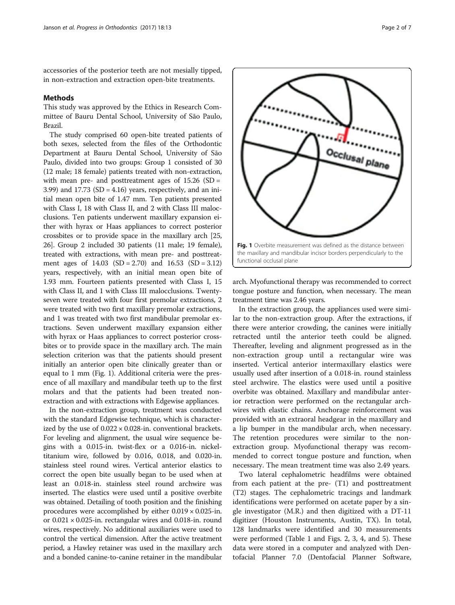accessories of the posterior teeth are not mesially tipped, in non-extraction and extraction open-bite treatments.

# Methods

This study was approved by the Ethics in Research Committee of Bauru Dental School, University of São Paulo, Brazil.

The study comprised 60 open-bite treated patients of both sexes, selected from the files of the Orthodontic Department at Bauru Dental School, University of São Paulo, divided into two groups: Group 1 consisted of 30 (12 male; 18 female) patients treated with non-extraction, with mean pre- and posttreatment ages of  $15.26$  (SD = 3.99) and  $17.73$  (SD = 4.16) years, respectively, and an initial mean open bite of 1.47 mm. Ten patients presented with Class I, 18 with Class II, and 2 with Class III malocclusions. Ten patients underwent maxillary expansion either with hyrax or Haas appliances to correct posterior crossbites or to provide space in the maxillary arch [[25](#page-6-0), [26](#page-6-0)]. Group 2 included 30 patients (11 male; 19 female), treated with extractions, with mean pre- and posttreatment ages of  $14.03$  (SD = 2.70) and  $16.53$  (SD = 3.12) years, respectively, with an initial mean open bite of 1.93 mm. Fourteen patients presented with Class I, 15 with Class II, and 1 with Class III malocclusions. Twentyseven were treated with four first premolar extractions, 2 were treated with two first maxillary premolar extractions, and 1 was treated with two first mandibular premolar extractions. Seven underwent maxillary expansion either with hyrax or Haas appliances to correct posterior crossbites or to provide space in the maxillary arch. The main selection criterion was that the patients should present initially an anterior open bite clinically greater than or equal to 1 mm (Fig. 1). Additional criteria were the presence of all maxillary and mandibular teeth up to the first molars and that the patients had been treated nonextraction and with extractions with Edgewise appliances.

In the non-extraction group, treatment was conducted with the standard Edgewise technique, which is characterized by the use of  $0.022 \times 0.028$ -in. conventional brackets. For leveling and alignment, the usual wire sequence begins with a 0.015-in. twist-flex or a 0.016-in. nickeltitanium wire, followed by 0.016, 0.018, and 0.020-in. stainless steel round wires. Vertical anterior elastics to correct the open bite usually began to be used when at least an 0.018-in. stainless steel round archwire was inserted. The elastics were used until a positive overbite was obtained. Detailing of tooth position and the finishing procedures were accomplished by either  $0.019 \times 0.025$ -in. or 0.021 × 0.025-in. rectangular wires and 0.018-in. round wires, respectively. No additional auxiliaries were used to control the vertical dimension. After the active treatment period, a Hawley retainer was used in the maxillary arch and a bonded canine-to-canine retainer in the mandibular



arch. Myofunctional therapy was recommended to correct tongue posture and function, when necessary. The mean treatment time was 2.46 years.

In the extraction group, the appliances used were similar to the non-extraction group. After the extractions, if there were anterior crowding, the canines were initially retracted until the anterior teeth could be aligned. Thereafter, leveling and alignment progressed as in the non-extraction group until a rectangular wire was inserted. Vertical anterior intermaxillary elastics were usually used after insertion of a 0.018-in. round stainless steel archwire. The elastics were used until a positive overbite was obtained. Maxillary and mandibular anterior retraction were performed on the rectangular archwires with elastic chains. Anchorage reinforcement was provided with an extraoral headgear in the maxillary and a lip bumper in the mandibular arch, when necessary. The retention procedures were similar to the nonextraction group. Myofunctional therapy was recommended to correct tongue posture and function, when necessary. The mean treatment time was also 2.49 years.

Two lateral cephalometric headfilms were obtained from each patient at the pre- (T1) and posttreatment (T2) stages. The cephalometric tracings and landmark identifications were performed on acetate paper by a single investigator (M.R.) and then digitized with a DT-11 digitizer (Houston Instruments, Austin, TX). In total, 128 landmarks were identified and 30 measurements were performed (Table [1](#page-2-0) and Figs. [2, 3](#page-3-0), [4,](#page-4-0) and [5\)](#page-4-0). These data were stored in a computer and analyzed with Dentofacial Planner 7.0 (Dentofacial Planner Software,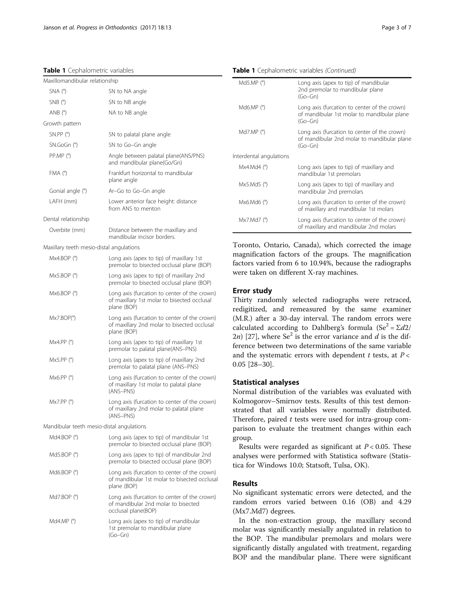<span id="page-2-0"></span>Table 1 Cephalometric variables

| Maxillomandibular relationship            |                                                                                                             |
|-------------------------------------------|-------------------------------------------------------------------------------------------------------------|
| $SNA(^{\circ})$                           | SN to NA angle                                                                                              |
| $SNB$ ( $\degree$ )                       | SN to NB angle                                                                                              |
| AND (°)                                   | NA to NB angle                                                                                              |
| Growth pattern                            |                                                                                                             |
| $SN.PP$ ( $^{\circ}$ )                    | SN to palatal plane angle                                                                                   |
| $SN.GoGn$ ( $°$ )                         | SN to Go-Gn angle                                                                                           |
| PP.MP (°)                                 | Angle between palatal plane(ANS/PNS)<br>and mandibular plane(Go/Gn)                                         |
| $FMA$ ( $\degree$ )                       | Frankfurt horizontal to mandibular<br>plane angle                                                           |
| Gonial angle (°)                          | Ar-Go to Go-Gn angle                                                                                        |
| LAFH (mm)                                 | Lower anterior face height: distance<br>from ANS to menton                                                  |
| Dental relationship                       |                                                                                                             |
| Overbite (mm)                             | Distance between the maxillary and<br>mandibular incisor borders.                                           |
| Maxillary teeth mesio-distal angulations  |                                                                                                             |
| Mx4.BOP (°)                               | Long axis (apex to tip) of maxillary 1st<br>premolar to bisected occlusal plane (BOP)                       |
| Mx5.BOP (°)                               | Long axis (apex to tip) of maxillary 2nd<br>premolar to bisected occlusal plane (BOP)                       |
| Mx6.BOP (°)                               | Long axis (furcation to center of the crown)<br>of maxillary 1st molar to bisected occlusal<br>plane (BOP)  |
| Mx7.BOP(°)                                | Long axis (furcation to center of the crown)<br>of maxillary 2nd molar to bisected occlusal<br>plane (BOP)  |
| Mx4.PP (°)                                | Long axis (apex to tip) of maxillary 1st<br>premolar to palatal plane(ANS-PNS)                              |
| Mx5.PP (°)                                | Long axis (apex to tip) of maxillary 2nd<br>premolar to palatal plane (ANS-PNS)                             |
| Mx6.PP (°)                                | Long axis (furcation to center of the crown)<br>of maxillary 1st molar to palatal plane<br>(ANS-PNS)        |
| Mx7.PP (°)                                | Long axis (furcation to center of the crown)<br>of maxillary 2nd molar to palatal plane<br>(ANS-PNS)        |
| Mandibular teeth mesio-distal angulations |                                                                                                             |
| Md4.BOP (°)                               | Long axis (apex to tip) of mandibular 1st<br>premolar to bisected occlusal plane (BOP)                      |
| Md5.BOP (°)                               | Long axis (apex to tip) of mandibular 2nd<br>premolar to bisected occlusal plane (BOP)                      |
| Md6.BOP $(°)$                             | Long axis (furcation to center of the crown)<br>of mandibular 1st molar to bisected occlusal<br>plane (BOP) |
| Md7.BOP (°)                               | Long axis (furcation to center of the crown)<br>of mandibular 2nd molar to bisected<br>occlusal plane(BOP)  |
| Md4.MP $(°)$                              | Long axis (apex to tip) of mandibular<br>1st premolar to mandibular plane<br>$(Go-Gn)$                      |

Table 1 Cephalometric variables (Continued)

| Md5.MP $(°)$            | Long axis (apex to tip) of mandibular<br>2nd premolar to mandibular plane<br>$(Go-Gn)$                   |
|-------------------------|----------------------------------------------------------------------------------------------------------|
| Md6.MP (°)              | Long axis (furcation to center of the crown)<br>of mandibular 1st molar to mandibular plane<br>$(Go-Gn)$ |
| Md7.MP $(°)$            | Long axis (furcation to center of the crown)<br>of mandibular 2nd molar to mandibular plane<br>$(Go-Gn)$ |
| Interdental angulations |                                                                                                          |
| Mx4.Md4 (°)             | Long axis (apex to tip) of maxillary and<br>mandibular 1st premolars                                     |
| $Mx5.Md5$ (°)           | Long axis (apex to tip) of maxillary and<br>mandibular 2nd premolars                                     |
| Mx6.Md6 (°)             | Long axis (furcation to center of the crown)<br>of maxillary and mandibular 1st molars                   |
| Mx7.Md7 (°)             | Long axis (furcation to center of the crown)<br>of maxillary and mandibular 2nd molars                   |

Toronto, Ontario, Canada), which corrected the image magnification factors of the groups. The magnification factors varied from 6 to 10.94%, because the radiographs were taken on different X-ray machines.

## Error study

Thirty randomly selected radiographs were retraced, redigitized, and remeasured by the same examiner (M.R.) after a 30-day interval. The random errors were calculated according to Dahlberg's formula (Se<sup>2</sup> =  $\Sigma d2$ / 2n) [\[27](#page-6-0)], where  $\text{Se}^2$  is the error variance and d is the difference between two determinations of the same variable and the systematic errors with dependent  $t$  tests, at  $P <$ 0.05 [[28](#page-6-0)–[30](#page-6-0)].

# Statistical analyses

Normal distribution of the variables was evaluated with Kolmogorov–Smirnov tests. Results of this test demonstrated that all variables were normally distributed. Therefore, paired  $t$  tests were used for intra-group comparison to evaluate the treatment changes within each group.

Results were regarded as significant at  $P < 0.05$ . These analyses were performed with Statistica software (Statistica for Windows 10.0; Statsoft, Tulsa, OK).

# Results

No significant systematic errors were detected, and the random errors varied between 0.16 (OB) and 4.29 (Mx7.Md7) degrees.

In the non-extraction group, the maxillary second molar was significantly mesially angulated in relation to the BOP. The mandibular premolars and molars were significantly distally angulated with treatment, regarding BOP and the mandibular plane. There were significant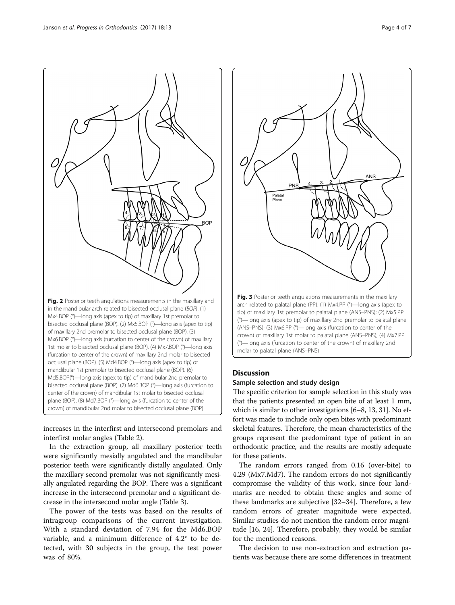center of the crown) of mandibular 1st molar to bisected occlusal plane (BOP). (8) Md7.BOP (°)—long axis (furcation to center of the crown) of mandibular 2nd molar to bisected occlusal plane (BOP)

increases in the interfirst and intersecond premolars and interfirst molar angles (Table [2](#page-5-0)).

In the extraction group, all maxillary posterior teeth were significantly mesially angulated and the mandibular posterior teeth were significantly distally angulated. Only the maxillary second premolar was not significantly mesially angulated regarding the BOP. There was a significant increase in the intersecond premolar and a significant decrease in the intersecond molar angle (Table [3](#page-5-0)).

The power of the tests was based on the results of intragroup comparisons of the current investigation. With a standard deviation of 7.94 for the Md6.BOP variable, and a minimum difference of 4.2° to be detected, with 30 subjects in the group, the test power was of 80%.



#### Discussion

#### Sample selection and study design

The specific criterion for sample selection in this study was that the patients presented an open bite of at least 1 mm, which is similar to other investigations [\[6](#page-6-0)–[8](#page-6-0), [13](#page-6-0), [31\]](#page-6-0). No effort was made to include only open bites with predominant skeletal features. Therefore, the mean characteristics of the groups represent the predominant type of patient in an orthodontic practice, and the results are mostly adequate for these patients.

The random errors ranged from 0.16 (over-bite) to 4.29 (Mx7.Md7). The random errors do not significantly compromise the validity of this work, since four landmarks are needed to obtain these angles and some of these landmarks are subjective [\[32](#page-6-0)–[34\]](#page-6-0). Therefore, a few random errors of greater magnitude were expected. Similar studies do not mention the random error magnitude [\[16, 24](#page-6-0)]. Therefore, probably, they would be similar for the mentioned reasons.

The decision to use non-extraction and extraction patients was because there are some differences in treatment

<span id="page-3-0"></span>

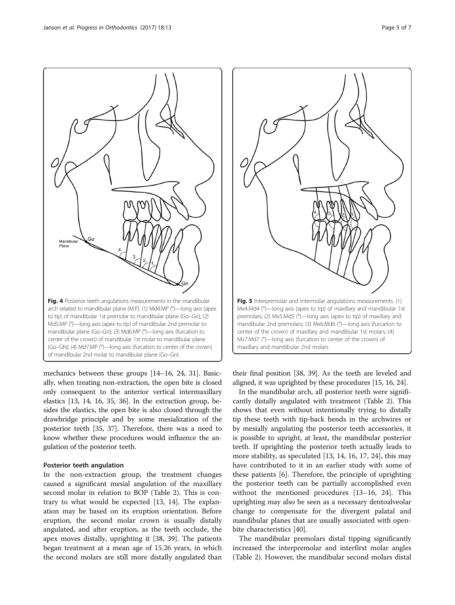<span id="page-4-0"></span>Fig. 4 Posterior teeth angulations measurements in the mandibular arch related to mandibular plane (M.P). (1) Md4.MP (°)—long axis (apex to tip) of mandibular 1st premolar to mandibular plane (Go–Gn); (2) Md5.MP (°)—long axis (apex to tip) of mandibular 2nd premolar to mandibular plane (Go–Gn); (3) Md6.MP (°)—long axis (furcation to center of the crown) of mandibular 1st molar to mandibular plane (Go–GN); (4) Md7.MP (°)—long axis (furcation to center of the crown) of mandibular 2nd molar to mandibular plane (Go–Gn)

mechanics between these groups [[14](#page-6-0)–[16](#page-6-0), [24](#page-6-0), [31\]](#page-6-0). Basically, when treating non-extraction, the open bite is closed only consequent to the anterior vertical intermaxillary elastics [\[13, 14, 16, 35](#page-6-0), [36](#page-6-0)]. In the extraction group, besides the elastics, the open bite is also closed through the drawbridge principle and by some mesialization of the posterior teeth [[35](#page-6-0), [37](#page-6-0)]. Therefore, there was a need to know whether these procedures would influence the angulation of the posterior teeth.

#### Posterior teeth angulation

In the non-extraction group, the treatment changes caused a significant mesial angulation of the maxillary second molar in relation to BOP (Table [2](#page-5-0)). This is contrary to what would be expected [[13, 14](#page-6-0)]. The explanation may be based on its eruption orientation. Before eruption, the second molar crown is usually distally angulated, and after eruption, as the teeth occlude, the apex moves distally, uprighting it [\[38](#page-6-0), [39](#page-6-0)]. The patients began treatment at a mean age of 15.26 years, in which the second molars are still more distally angulated than



their final position [\[38](#page-6-0), [39\]](#page-6-0). As the teeth are leveled and aligned, it was uprighted by these procedures [\[15](#page-6-0), [16](#page-6-0), [24\]](#page-6-0).

In the mandibular arch, all posterior teeth were significantly distally angulated with treatment (Table [2\)](#page-5-0). This shows that even without intentionally trying to distally tip these teeth with tip-back bends in the archwires or by mesially angulating the posterior teeth accessories, it is possible to upright, at least, the mandibular posterior teeth. If uprighting the posterior teeth actually leads to more stability, as speculated [\[13, 14, 16, 17, 24\]](#page-6-0), this may have contributed to it in an earlier study with some of these patients [\[6](#page-6-0)]. Therefore, the principle of uprighting the posterior teeth can be partially accomplished even without the mentioned procedures [[13](#page-6-0)–[16](#page-6-0), [24](#page-6-0)]. This uprighting may also be seen as a necessary dentoalveolar change to compensate for the divergent palatal and mandibular planes that are usually associated with openbite characteristics [\[40](#page-6-0)].

The mandibular premolars distal tipping significantly increased the interpremolar and interfirst molar angles (Table [2](#page-5-0)). However, the mandibular second molars distal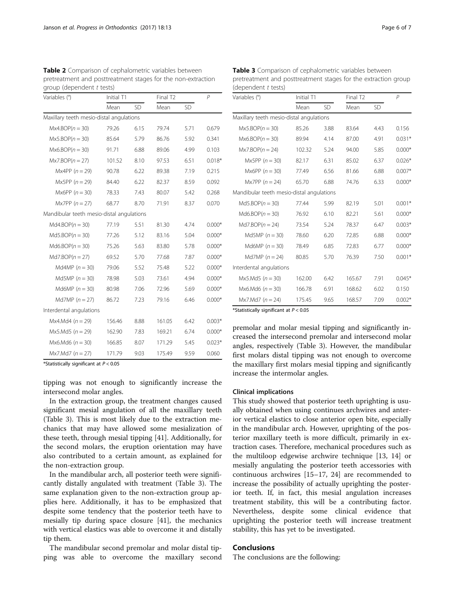| Variables (°)                             | Initial T1 |           |        | Final T <sub>2</sub> |          |
|-------------------------------------------|------------|-----------|--------|----------------------|----------|
|                                           | Mean       | <b>SD</b> | Mean   | SD.                  |          |
| Maxillary teeth mesio-distal angulations  |            |           |        |                      |          |
| $Mx4.BOP(n = 30)$                         | 79.26      | 6.15      | 79.74  | 5.71                 | 0.679    |
| $Mx5.BOP(n = 30)$                         | 85.64      | 5.79      | 86.76  | 5.92                 | 0.341    |
| $Mx6.BOP(n = 30)$                         | 91.71      | 6.88      | 89.06  | 4.99                 | 0.103    |
| $Mx7.BOP(n = 27)$                         | 101.52     | 8.10      | 97.53  | 6.51                 | $0.018*$ |
| Mx4PP $(n = 29)$                          | 90.78      | 6.22      | 89.38  | 7.19                 | 0.215    |
| Mx5PP $(n = 29)$                          | 84.40      | 6.22      | 82.37  | 8.59                 | 0.092    |
| Mx6PP $(n = 30)$                          | 78.33      | 7.43      | 80.07  | 5.42                 | 0.268    |
| $Mx7PP (n = 27)$                          | 68.77      | 8.70      | 71.91  | 8.37                 | 0.070    |
| Mandibular teeth mesio-distal angulations |            |           |        |                      |          |
| $Md4.BOP(n = 30)$                         | 77.19      | 5.51      | 81.30  | 4.74                 | $0.000*$ |
| $Md5.BOP(n = 30)$                         | 77.26      | 5.12      | 83.16  | 5.04                 | $0.000*$ |
| $Md6.BOP(n = 30)$                         | 75.26      | 5.63      | 83.80  | 5.78                 | $0.000*$ |
| $Md7.BOP(n = 27)$                         | 69.52      | 5.70      | 77.68  | 7.87                 | $0.000*$ |
| Md <sub>4</sub> MP ( $n = 30$ )           | 79.06      | 5.52      | 75.48  | 5.22                 | $0.000*$ |
| Md5MP $(n = 30)$                          | 78.98      | 5.03      | 73.61  | 4.94                 | $0.000*$ |
| Md6MP $(n = 30)$                          | 80.98      | 7.06      | 72.96  | 5.69                 | $0.000*$ |
| Md7MP $(n = 27)$                          | 86.72      | 7.23      | 79.16  | 6.46                 | $0.000*$ |
| Interdental angulations                   |            |           |        |                      |          |
| $Mx4.Md4 (n = 29)$                        | 156.46     | 8.88      | 161.05 | 6.42                 | $0.003*$ |
| $Mx5.Md5 (n = 29)$                        | 162.90     | 7.83      | 169.21 | 6.74                 | $0.000*$ |
| $Mx6.Md6 (n = 30)$                        | 166.85     | 8.07      | 171.29 | 5.45                 | $0.023*$ |
| $Mx7.Md7 (n = 27)$                        | 171.79     | 9.03      | 175.49 | 9.59                 | 0.060    |

<span id="page-5-0"></span>Table 2 Comparison of cephalometric variables between pretreatment and posttreatment stages for the non-extraction  $ddot t + \cot t$ 

\*Statistically significant at  $P < 0.05$ 

tipping was not enough to significantly increase the intersecond molar angles.

In the extraction group, the treatment changes caused significant mesial angulation of all the maxillary teeth (Table 3). This is most likely due to the extraction mechanics that may have allowed some mesialization of these teeth, through mesial tipping [[41](#page-6-0)]. Additionally, for the second molars, the eruption orientation may have also contributed to a certain amount, as explained for the non-extraction group.

In the mandibular arch, all posterior teeth were significantly distally angulated with treatment (Table 3). The same explanation given to the non-extraction group applies here. Additionally, it has to be emphasized that despite some tendency that the posterior teeth have to mesially tip during space closure [[41\]](#page-6-0), the mechanics with vertical elastics was able to overcome it and distally tip them.

The mandibular second premolar and molar distal tipping was able to overcome the maxillary second

Table 3 Comparison of cephalometric variables between pretreatment and posttreatment stages for the extraction group (dependent  $t$  tests)

| Variables (°)                             | Initial T1 |      |        | Final T <sub>2</sub> |          |
|-------------------------------------------|------------|------|--------|----------------------|----------|
|                                           | Mean       | SD.  | Mean   | SD.                  |          |
| Maxillary teeth mesio-distal angulations  |            |      |        |                      |          |
| $Mx5.BOP(n = 30)$                         | 85.26      | 3.88 | 83.64  | 4.43                 | 0.156    |
| $Mx6.BOP(n = 30)$                         | 89.94      | 4.14 | 87.00  | 4.91                 | $0.031*$ |
| $Mx7.BOP(n = 24)$                         | 102.32     | 5.24 | 94.00  | 5.85                 | $0.000*$ |
| Mx5PP $(n = 30)$                          | 82.17      | 6.31 | 85.02  | 6.37                 | $0.026*$ |
| $Mx6PP (n = 30)$                          | 77.49      | 6.56 | 81.66  | 6.88                 | $0.007*$ |
| Mx7PP $(n=24)$                            | 65.70      | 6.88 | 74.76  | 6.33                 | $0.000*$ |
| Mandibular teeth mesio-distal angulations |            |      |        |                      |          |
| $Md5.BOP(n = 30)$                         | 77.44      | 5.99 | 82.19  | 5.01                 | $0.001*$ |
| $Md6.BOP(n = 30)$                         | 76.92      | 6.10 | 82.21  | 5.61                 | $0.000*$ |
| $Md7.BOP(n = 24)$                         | 73.54      | 5.24 | 78.37  | 6.47                 | $0.003*$ |
| Md5MP $(n = 30)$                          | 78.60      | 6.20 | 72.85  | 6.88                 | $0.000*$ |
| Md6MP $(n = 30)$                          | 78.49      | 6.85 | 72.83  | 6.77                 | $0.000*$ |
| Md7MP $(n = 24)$                          | 80.85      | 5.70 | 76.39  | 7.50                 | $0.001*$ |
| Interdental angulations                   |            |      |        |                      |          |
| $Mx5.Md5 (n = 30)$                        | 162.00     | 6.42 | 165.67 | 7.91                 | $0.045*$ |
| $Mx6.Md6 (n = 30)$                        | 166.78     | 6.91 | 168.62 | 6.02                 | 0.150    |
| $Mx7.Md7 (n = 24)$                        | 175.45     | 9.65 | 168.57 | 7.09                 | $0.002*$ |

\*Statistically significant at  $P < 0.05$ 

premolar and molar mesial tipping and significantly increased the intersecond premolar and intersecond molar angles, respectively (Table 3). However, the mandibular first molars distal tipping was not enough to overcome the maxillary first molars mesial tipping and significantly increase the intermolar angles.

## Clinical implications

This study showed that posterior teeth uprighting is usually obtained when using continues archwires and anterior vertical elastics to close anterior open bite, especially in the mandibular arch. However, uprighting of the posterior maxillary teeth is more difficult, primarily in extraction cases. Therefore, mechanical procedures such as the multiloop edgewise archwire technique [[13](#page-6-0), [14\]](#page-6-0) or mesially angulating the posterior teeth accessories with continuous archwires [\[15](#page-6-0)–[17, 24\]](#page-6-0) are recommended to increase the possibility of actually uprighting the posterior teeth. If, in fact, this mesial angulation increases treatment stability, this will be a contributing factor. Nevertheless, despite some clinical evidence that uprighting the posterior teeth will increase treatment stability, this has yet to be investigated.

## **Conclusions**

The conclusions are the following: